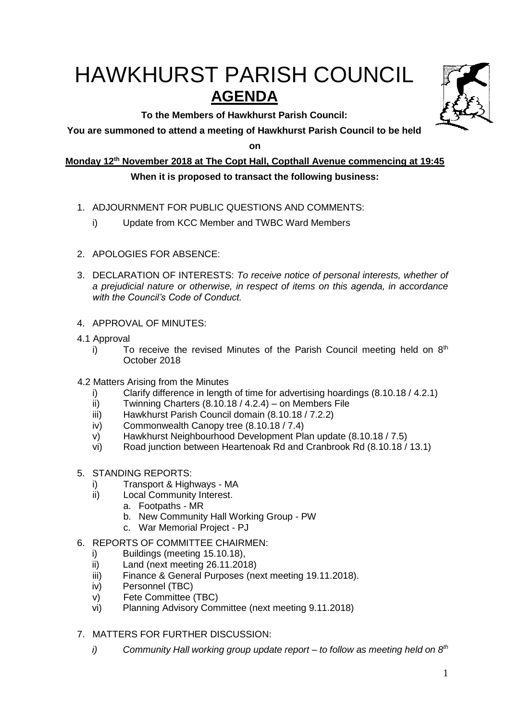# HAWKHURST PARISH COUNCIL **AGENDA**

**To the Members of Hawkhurst Parish Council:**



**on**

**Monday 12th November 2018 at The Copt Hall, Copthall Avenue commencing at 19:45**

## **When it is proposed to transact the following business:**

- 1. ADJOURNMENT FOR PUBLIC QUESTIONS AND COMMENTS:
	- i) Update from KCC Member and TWBC Ward Members
- 2. APOLOGIES FOR ABSENCE:
- 3. DECLARATION OF INTERESTS: *To receive notice of personal interests, whether of a prejudicial nature or otherwise, in respect of items on this agenda, in accordance with the Council's Code of Conduct.*
- 4. APPROVAL OF MINUTES:
- 4.1 Approval
	- i) To receive the revised Minutes of the Parish Council meeting held on  $8<sup>th</sup>$ October 2018
- 4.2 Matters Arising from the Minutes
	- i) Clarify difference in length of time for advertising hoardings (8.10.18 / 4.2.1)
	- ii) Twinning Charters (8.10.18 / 4.2.4) on Members File
	- iii) Hawkhurst Parish Council domain (8.10.18 / 7.2.2)
	- iv) Commonwealth Canopy tree (8.10.18 / 7.4)
	- v) Hawkhurst Neighbourhood Development Plan update (8.10.18 / 7.5)
	- vi) Road junction between Heartenoak Rd and Cranbrook Rd (8.10.18 / 13.1)
- 5. STANDING REPORTS:
	- i) Transport & Highways MA
	- ii) Local Community Interest.
		- a. Footpaths MR
			- b. New Community Hall Working Group PW
			- c. War Memorial Project PJ
- 6. REPORTS OF COMMITTEE CHAIRMEN:
	- i) Buildings (meeting 15.10.18),
	- ii) Land (next meeting 26.11.2018)
	- iii) Finance & General Purposes (next meeting 19.11.2018).
	- iv) Personnel (TBC)
	- v) Fete Committee (TBC)
	- vi) Planning Advisory Committee (next meeting 9.11.2018)
- 7. MATTERS FOR FURTHER DISCUSSION:
	- *i) Community Hall working group update report – to follow as meeting held on 8th*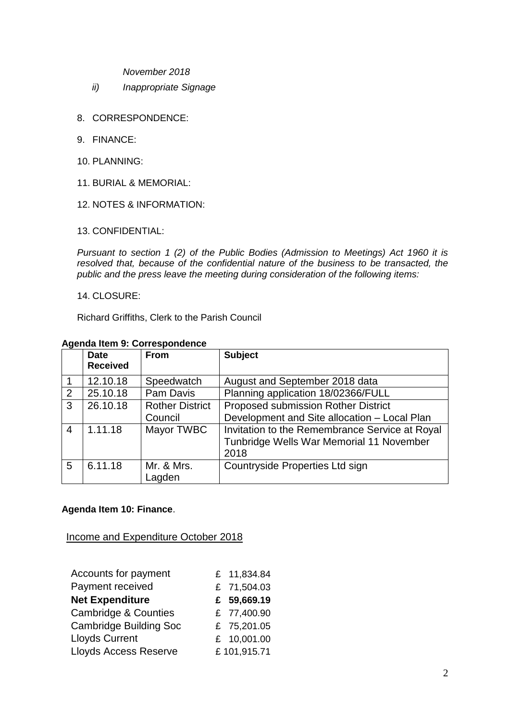*November 2018*

- *ii) Inappropriate Signage*
- 8. CORRESPONDENCE:
- 9. FINANCE:
- 10. PLANNING:
- 11. BURIAL & MEMORIAL:
- 12. NOTES & INFORMATION:
- 13. CONFIDENTIAL:

*Pursuant to section 1 (2) of the Public Bodies (Admission to Meetings) Act 1960 it is resolved that, because of the confidential nature of the business to be transacted, the public and the press leave the meeting during consideration of the following items:*

#### 14. CLOSURE:

Richard Griffiths, Clerk to the Parish Council

#### **Agenda Item 9: Correspondence**

|   | <b>Date</b>     | <b>From</b>            | <b>Subject</b>                                 |
|---|-----------------|------------------------|------------------------------------------------|
|   | <b>Received</b> |                        |                                                |
|   | 12.10.18        | Speedwatch             | August and September 2018 data                 |
| 2 | 25.10.18        | Pam Davis              | Planning application 18/02366/FULL             |
| 3 | 26.10.18        | <b>Rother District</b> | Proposed submission Rother District            |
|   |                 | Council                | Development and Site allocation - Local Plan   |
| 4 | 1.11.18         | Mayor TWBC             | Invitation to the Remembrance Service at Royal |
|   |                 |                        | Tunbridge Wells War Memorial 11 November       |
|   |                 |                        | 2018                                           |
| 5 | 6.11.18         | Mr. & Mrs.             | Countryside Properties Ltd sign                |
|   |                 | Lagden                 |                                                |

#### **Agenda Item 10: Finance**.

## Income and Expenditure October 2018

| Accounts for payment            | £ 11,834.84 |
|---------------------------------|-------------|
| Payment received                | £ 71,504.03 |
| <b>Net Expenditure</b>          | £ 59,669.19 |
| <b>Cambridge &amp; Counties</b> | £ 77,400.90 |
| <b>Cambridge Building Soc</b>   | £ 75,201.05 |
| <b>Lloyds Current</b>           | £ 10,001.00 |
| <b>Lloyds Access Reserve</b>    | £101,915.71 |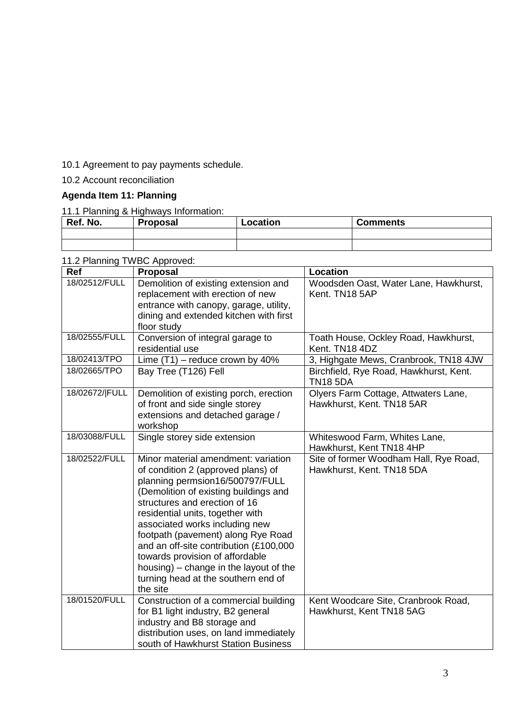10.1 Agreement to pay payments schedule.

## 10.2 Account reconciliation

# **Agenda Item 11: Planning**

## 11.1 Planning & Highways Information:

| Ref. No. | <b>Proposal</b> | Location | <b>Comments</b> |
|----------|-----------------|----------|-----------------|
|          |                 |          |                 |
|          |                 |          |                 |

## 11.2 Planning TWBC Approved:

| Ref            | <b>Proposal</b>                                                                                                                                                                                                                                                                                                                                                                                                                                                              | <b>Location</b>                                                     |
|----------------|------------------------------------------------------------------------------------------------------------------------------------------------------------------------------------------------------------------------------------------------------------------------------------------------------------------------------------------------------------------------------------------------------------------------------------------------------------------------------|---------------------------------------------------------------------|
| 18/02512/FULL  | Demolition of existing extension and<br>replacement with erection of new<br>entrance with canopy, garage, utility,<br>dining and extended kitchen with first<br>floor study                                                                                                                                                                                                                                                                                                  | Woodsden Oast, Water Lane, Hawkhurst,<br>Kent. TN18 5AP             |
| 18/02555/FULL  | Conversion of integral garage to<br>residential use                                                                                                                                                                                                                                                                                                                                                                                                                          | Toath House, Ockley Road, Hawkhurst,<br>Kent. TN18 4DZ              |
| 18/02413/TPO   | Lime $(T1)$ – reduce crown by 40%                                                                                                                                                                                                                                                                                                                                                                                                                                            | 3, Highgate Mews, Cranbrook, TN18 4JW                               |
| 18/02665/TPO   | Bay Tree (T126) Fell                                                                                                                                                                                                                                                                                                                                                                                                                                                         | Birchfield, Rye Road, Hawkhurst, Kent.<br><b>TN18 5DA</b>           |
| 18/02672/ FULL | Demolition of existing porch, erection<br>of front and side single storey<br>extensions and detached garage /<br>workshop                                                                                                                                                                                                                                                                                                                                                    | Olyers Farm Cottage, Attwaters Lane,<br>Hawkhurst, Kent. TN18 5AR   |
| 18/03088/FULL  | Single storey side extension                                                                                                                                                                                                                                                                                                                                                                                                                                                 | Whiteswood Farm, Whites Lane,<br>Hawkhurst, Kent TN18 4HP           |
| 18/02522/FULL  | Minor material amendment: variation<br>of condition 2 (approved plans) of<br>planning permsion16/500797/FULL<br>(Demolition of existing buildings and<br>structures and erection of 16<br>residential units, together with<br>associated works including new<br>footpath (pavement) along Rye Road<br>and an off-site contribution (£100,000<br>towards provision of affordable<br>housing) – change in the layout of the<br>turning head at the southern end of<br>the site | Site of former Woodham Hall, Rye Road,<br>Hawkhurst, Kent. TN18 5DA |
| 18/01520/FULL  | Construction of a commercial building<br>for B1 light industry, B2 general<br>industry and B8 storage and<br>distribution uses, on land immediately<br>south of Hawkhurst Station Business                                                                                                                                                                                                                                                                                   | Kent Woodcare Site, Cranbrook Road,<br>Hawkhurst, Kent TN18 5AG     |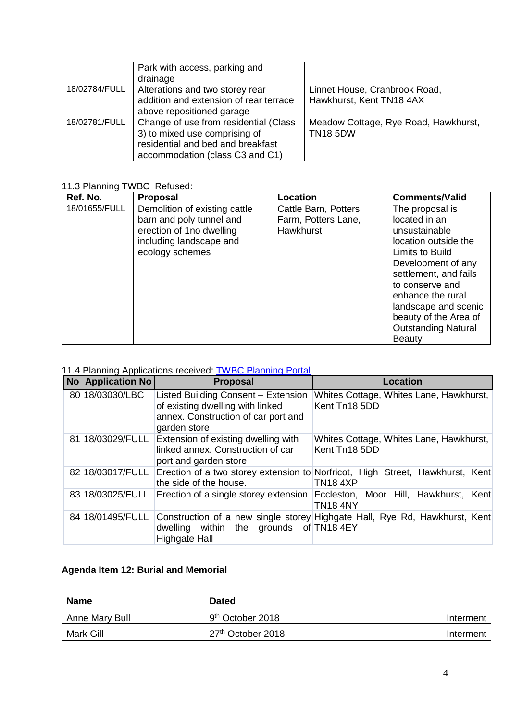|               | Park with access, parking and          |                                      |
|---------------|----------------------------------------|--------------------------------------|
|               | drainage                               |                                      |
| 18/02784/FULL | Alterations and two storey rear        | Linnet House, Cranbrook Road,        |
|               | addition and extension of rear terrace | Hawkhurst, Kent TN18 4AX             |
|               | above repositioned garage              |                                      |
| 18/02781/FULL | Change of use from residential (Class  | Meadow Cottage, Rye Road, Hawkhurst, |
|               | 3) to mixed use comprising of          | <b>TN18 5DW</b>                      |
|               | residential and bed and breakfast      |                                      |
|               | accommodation (class C3 and C1)        |                                      |

## 11.3 Planning TWBC Refused:

| Ref. No.      | <b>Proposal</b>               | Location             | <b>Comments/Valid</b>      |
|---------------|-------------------------------|----------------------|----------------------------|
| 18/01655/FULL | Demolition of existing cattle | Cattle Barn, Potters | The proposal is            |
|               | barn and poly tunnel and      | Farm, Potters Lane,  | located in an              |
|               | erection of 1no dwelling      | Hawkhurst            | unsustainable              |
|               | including landscape and       |                      | location outside the       |
|               | ecology schemes               |                      | Limits to Build            |
|               |                               |                      | Development of any         |
|               |                               |                      | settlement, and fails      |
|               |                               |                      | to conserve and            |
|               |                               |                      | enhance the rural          |
|               |                               |                      | landscape and scenic       |
|               |                               |                      | beauty of the Area of      |
|               |                               |                      | <b>Outstanding Natural</b> |
|               |                               |                      | <b>Beauty</b>              |

# 11.4 Planning Applications received: **[TWBC Planning Portal](http://www.tunbridgewells.gov.uk/residents/planning/planning-application-search)**

| <b>No Application No</b> | <b>Proposal</b>                                                                                                                | <b>Location</b>                                                                                  |
|--------------------------|--------------------------------------------------------------------------------------------------------------------------------|--------------------------------------------------------------------------------------------------|
| 80 18/03030/LBC          | Listed Building Consent - Extension<br>of existing dwelling with linked<br>annex. Construction of car port and<br>garden store | Whites Cottage, Whites Lane, Hawkhurst,<br>Kent Tn18 5DD                                         |
| 81 18/03029/FULL         | Extension of existing dwelling with<br>linked annex. Construction of car<br>port and garden store                              | Whites Cottage, Whites Lane, Hawkhurst,<br>Kent Tn18 5DD                                         |
| 82 18/03017/FULL         | the side of the house.                                                                                                         | Erection of a two storey extension to Norfricot, High Street, Hawkhurst, Kent<br><b>TN18 4XP</b> |
| 83 18/03025/FULL         |                                                                                                                                | Erection of a single storey extension Eccleston, Moor Hill, Hawkhurst, Kent<br><b>TN18 4NY</b>   |
| 84 18/01495/FULL         | dwelling within the grounds of TN184EY<br>Highgate Hall                                                                        | Construction of a new single storey Highgate Hall, Rye Rd, Hawkhurst, Kent                       |

# **Agenda Item 12: Burial and Memorial**

| Name           | <b>Dated</b>                  |           |
|----------------|-------------------------------|-----------|
| Anne Mary Bull | $9th$ October 2018            | Interment |
| Mark Gill      | 27 <sup>th</sup> October 2018 | Interment |